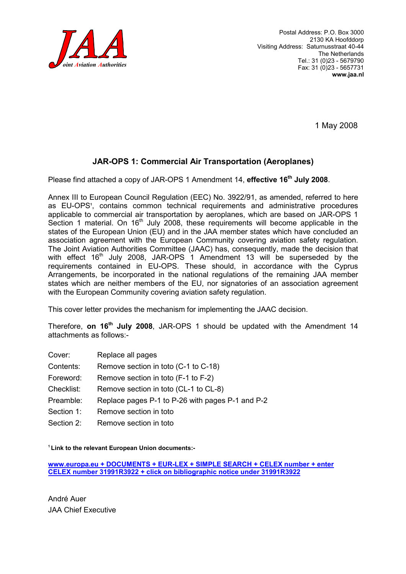

Postal Address: P.O. Box 3000 2130 KA Hoofddorp Visiting Address: Saturnusstraat 40-44 The Netherlands Tel.: 31 (0)23 - 5679790 Fax: 31 (0)23 - 5657731 www.jaa.nl

1 May 2008

## JAR-OPS 1: Commercial Air Transportation (Aeroplanes)

Please find attached a copy of JAR-OPS 1 Amendment 14, effective 16<sup>th</sup> July 2008.

Annex III to European Council Regulation (EEC) No. 3922/91, as amended, referred to here as EU-OPS<sup>1</sup> , contains common technical requirements and administrative procedures applicable to commercial air transportation by aeroplanes, which are based on JAR-OPS 1 Section 1 material. On  $16<sup>th</sup>$  July 2008, these requirements will become applicable in the states of the European Union (EU) and in the JAA member states which have concluded an association agreement with the European Community covering aviation safety regulation. The Joint Aviation Authorities Committee (JAAC) has, consequently, made the decision that with effect 16<sup>th</sup> July 2008, JAR-OPS 1 Amendment 13 will be superseded by the requirements contained in EU-OPS. These should, in accordance with the Cyprus Arrangements, be incorporated in the national regulations of the remaining JAA member states which are neither members of the EU, nor signatories of an association agreement with the European Community covering aviation safety regulation.

This cover letter provides the mechanism for implementing the JAAC decision.

Therefore, on 16<sup>th</sup> July 2008, JAR-OPS 1 should be updated with the Amendment 14 attachments as follows:-

- Cover: Replace all pages
- Contents: Remove section in toto (C-1 to C-18)
- Foreword: Remove section in toto (F-1 to F-2)
- Checklist: Remove section in toto (CL-1 to CL-8)
- Preamble: Replace pages P-1 to P-26 with pages P-1 and P-2
- Section 1: Remove section in toto
- Section 2: Remove section in toto

<sup>1</sup>Link to the relevant European Union documents:-

[www.europa.eu + DOCUMENTS + EUR-LEX + SIMPLE SEARCH + CELEX number + enter](http://eur-lex.europa.eu/Notice.do?val=174597:cs&lang=en&list=195747:cs,174597:cs,&pos=2&page=1&nbl=2&pgs=10&hwords=)  CELEX number 31991R3922 + click on bibliographic notice under 31991R3922

André Auer JAA Chief Executive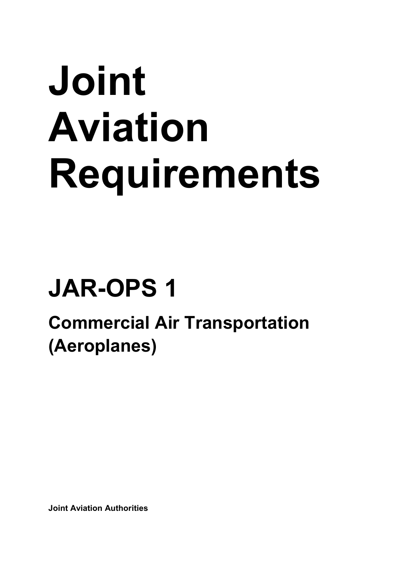# Joint Aviation Requirements

## JAR-OPS 1

## Commercial Air Transportation (Aeroplanes)

Joint Aviation Authorities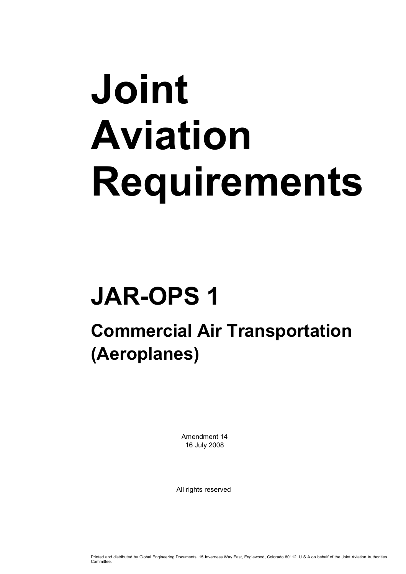# Joint Aviation Requirements

## JAR-OPS 1

## Commercial Air Transportation (Aeroplanes)

Amendment 14 16 July 2008

All rights reserved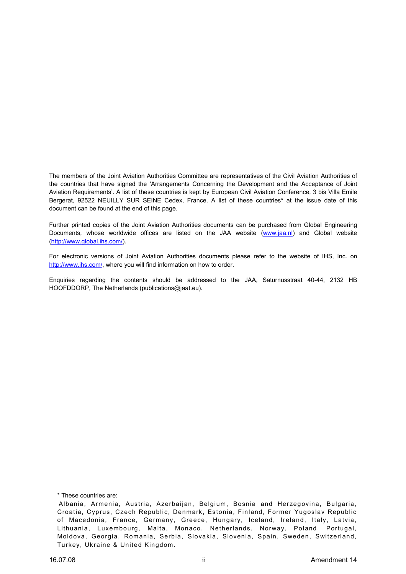The members of the Joint Aviation Authorities Committee are representatives of the Civil Aviation Authorities of the countries that have signed the 'Arrangements Concerning the Development and the Acceptance of Joint Aviation Requirements'. A list of these countries is kept by European Civil Aviation Conference, 3 bis Villa Emile Bergerat, 92522 NEUILLY SUR SEINE Cedex, France. A list of these countries\* at the issue date of this document can be found at the end of this page.

Further printed copies of the Joint Aviation Authorities documents can be purchased from Global Engineering Documents, whose worldwide offices are listed on the JAA website (www.jaa.nl) and Global website (http://www.global.ihs.com/).

For electronic versions of Joint Aviation Authorities documents please refer to the website of IHS, Inc. on http://www.ihs.com/, where you will find information on how to order.

Enquiries regarding the contents should be addressed to the JAA, Saturnusstraat 40-44, 2132 HB HOOFDDORP, The Netherlands (publications@jaat.eu).

 $\overline{a}$ 

<sup>\*</sup> These countries are:

Albania, Armenia, Austria, Azerbaijan, Belgium, Bosnia and Herzegovina, Bulgaria, Croatia, Cyprus, Czech Republic, Denmark, Estonia, Finland, Former Yugoslav Republic of Macedonia, France, Germany, Greece, Hungary, Iceland, Ireland, Italy, Latvia, Lithuania, Luxembourg, Malta, Monaco, Netherlands, Norway, Poland, Portugal, Moldova, Georgia, Romania, Serbia, Slovakia, Slovenia, Spain, Sweden, Switzerland, Turkey, Ukraine & United Kingdom.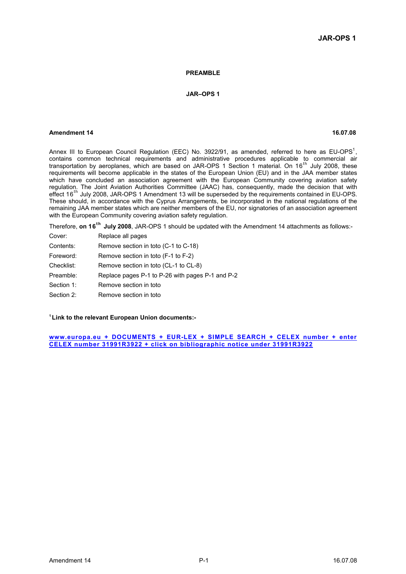#### PRFAMBL<sub>F</sub>

### JAR–OPS 1

#### Amendment 14 16.07.08

Annex III to European Council Regulation (EEC) No. 3922/91, as amended, referred to here as EU-OPS<sup>1</sup>, contains common technical requirements and administrative procedures applicable to commercial air transportation by aeroplanes, which are based on JAR-OPS 1 Section 1 material. On 16<sup>th</sup> July 2008, these requirements will become applicable in the states of the European Union (EU) and in the JAA member states which have concluded an association agreement with the European Community covering aviation safety regulation. The Joint Aviation Authorities Committee (JAAC) has, consequently, made the decision that with effect 16<sup>th</sup> July 2008, JAR-OPS 1 Amendment 13 will be superseded by the requirements contained in EU-OPS. These should, in accordance with the Cyprus Arrangements, be incorporated in the national regulations of the remaining JAA member states which are neither members of the EU, nor signatories of an association agreement with the European Community covering aviation safety regulation.

Therefore, on 16<sup>th</sup> July 2008, JAR-OPS 1 should be updated with the Amendment 14 attachments as follows:-

| Cover:     | Replace all pages                                |
|------------|--------------------------------------------------|
| Contents:  | Remove section in toto (C-1 to C-18)             |
| Foreword:  | Remove section in toto (F-1 to F-2)              |
| Checklist: | Remove section in toto (CL-1 to CL-8)            |
| Preamble:  | Replace pages P-1 to P-26 with pages P-1 and P-2 |
| Section 1: | Remove section in toto                           |
| Section 2: | Remove section in toto                           |
|            |                                                  |

<sup>1</sup>Link to the relevant European Union documents:-

www.europa.eu + DOCUMENTS + EUR-LEX + SIMPLE SEARCH + CELEX number + enter CELEX number 31991R3922 + click on bibliographic notice under 31991R3922